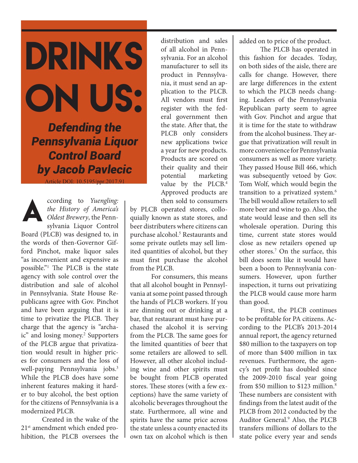drinks ON US:

*Defending the Pennsylvania Liquor Control Board by Jacob Pavlecic*

Article DOI: 10.5195/ppr.2017.91



ccording to *Yuengling: the History of America's Oldest Brewery*, the Pennsylvania Liquor Control

Board (PLCB) was designed to, in the words of then-Governor Gifford Pinchot, make liquor sales "as inconvenient and expensive as possible."<sup>1</sup> The PLCB is the state agency with sole control over the distribution and sale of alcohol in Pennsylvania. State House Republicans agree with Gov. Pinchot and have been arguing that it is time to privatize the PLCB. They charge that the agency is "archaic" and losing money.<sup>2</sup> Supporters of the PLCB argue that privatization would result in higher prices for consumers and the loss of well-paying Pennsylvania jobs.<sup>3</sup> While the PLCB does have some inherent features making it harder to buy alcohol, the best option for the citizens of Pennsylvania is a modernized PLCB.

Created in the wake of the 21<sup>st</sup> amendment which ended prohibition, the PLCB oversees the

distribution and sales of all alcohol in Pennsylvania. For an alcohol manufacturer to sell its product in Pennsylvania, it must send an application to the PLCB. All vendors must first register with the federal government then the state. After that, the PLCB only considers new applications twice a year for new products. Products are scored on their quality and their potential marketing value by the PLCB.<sup>4</sup> Approved products are then sold to consumers

by PLCB operated stores, colloquially known as state stores, and beer distributers where citizens can purchase alcohol.<sup>5</sup> Restaurants and some private outlets may sell limited quantities of alcohol, but they must first purchase the alcohol from the PLCB.

For consumers, this means that all alcohol bought in Pennsylvania at some point passed through the hands of PLCB workers. If you are dinning out or drinking at a bar, that restaurant must have purchased the alcohol it is serving from the PLCB. The same goes for the limited quantities of beer that some retailers are allowed to sell. However, all other alcohol including wine and other spirits must be bought from PLCB operated stores. These stores (with a few exceptions) have the same variety of alcoholic beverages throughout the state. Furthermore, all wine and spirits have the same price across the state unless a county enacted its own tax on alcohol which is then

added on to price of the product.

The PLCB has operated in this fashion for decades. Today, on both sides of the aisle, there are calls for change. However, there are large differences in the extent to which the PLCB needs changing. Leaders of the Pennsylvania Republican party seem to agree with Gov. Pinchot and argue that it is time for the state to withdraw from the alcohol business. They argue that privatization will result in more convenience for Pennsylvania consumers as well as more variety. They passed House Bill 466, which was subsequently vetoed by Gov. Tom Wolf, which would begin the transition to a privatized system.<sup>6</sup> The bill would allow retailers to sell more beer and wine to go. Also, the state would lease and then sell its wholesale operation. During this time, current state stores would close as new retailers opened up other stores.<sup>7</sup> On the surface, this bill does seem like it would have been a boon to Pennsylvania consumers. However, upon further inspection, it turns out privatizing the PLCB would cause more harm than good.

First, the PLCB continues to be profitable for PA citizens. According to the PLCB's 2013-2014 annual report, the agency returned \$80 million to the taxpayers on top of more than \$400 million in tax revenues. Furthermore, the agency's net profit has doubled since the 2009-2010 fiscal year going from \$50 million to \$123 million.<sup>8</sup> These numbers are consistent with findings from the latest audit of the PLCB from 2012 conducted by the Auditor General.<sup>9</sup> Also, the PLCB transfers millions of dollars to the state police every year and sends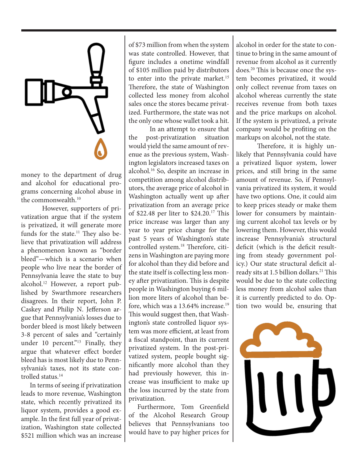

money to the department of drug and alcohol for educational programs concerning alcohol abuse in the commonwealth.<sup>10</sup>

However, supporters of privatization argue that if the system is privatized, it will generate more funds for the state.<sup>11</sup> They also believe that privatization will address a phenomenon known as "border bleed"—which is a scenario when people who live near the border of Pennsylvania leave the state to buy alcohol.<sup>12</sup> However, a report published by Swarthmore researchers disagrees. In their report, John P. Caskey and Philip N. Jefferson argue that Pennsylvania's losses due to border bleed is most likely between 3-8 percent of sales and "certainly under 10 percent."<sup>13</sup> Finally, they argue that whatever effect border bleed has is most likely due to Pennsylvania's taxes, not its state controlled status.<sup>14</sup>

In terms of seeing if privatization leads to more revenue, Washington state, which recently privatized its liquor system, provides a good example. In the first full year of privatization, Washington state collected \$521 million which was an increase of \$73 million from when the system was state controlled. However, that figure includes a onetime windfall of \$105 million paid by distributors to enter into the private market.<sup>15</sup> Therefore, the state of Washington collected less money from alcohol sales once the stores became privatized. Furthermore, the state was not the only one whose wallet took a hit.

In an attempt to ensure that the post-privatization situation would yield the same amount of revenue as the previous system, Washington legislators increased taxes on alcohol.<sup>16</sup> So, despite an increase in competition among alcohol distributors, the average price of alcohol in Washington actually went up after privatization from an average price of \$22.48 per liter to \$24.20.<sup>17</sup> This price increase was larger than any year to year price change for the past 5 years of Washington's state controlled system.18 Therefore, citizens in Washington are paying more for alcohol than they did before and the state itself is collecting less money after privatization. This is despite people in Washington buying 6 million more liters of alcohol than before, which was a  $13.64\%$  increase.<sup>19</sup> This would suggest then, that Washington's state controlled liquor system was more efficient, at least from a fiscal standpoint, than its current privatized system. In the post-privatized system, people bought significantly more alcohol than they had previously however, this increase was insufficient to make up the loss incurred by the state from privatization.

Furthermore, Tom Greenfield of the Alcohol Research Group believes that Pennsylvanians too would have to pay higher prices for

alcohol in order for the state to continue to bring in the same amount of revenue from alcohol as it currently does.20 This is because once the system becomes privatized, it would only collect revenue from taxes on alcohol whereas currently the state receives revenue from both taxes and the price markups on alcohol. If the system is privatized, a private company would be profiting on the markups on alcohol, not the state.

Therefore, it is highly unlikely that Pennsylvania could have a privatized liquor system, lower prices, and still bring in the same amount of revenue. So, if Pennsylvania privatized its system, it would have two options. One, it could aim to keep prices steady or make them lower for consumers by maintaining current alcohol tax levels or by lowering them. However, this would increase Pennsylvania's structural deficit (which is the deficit resulting from steady government policy.) Our state structural deficit already sits at 1.5 billion dollars.<sup>21</sup> This would be due to the state collecting less money from alcohol sales than it is currently predicted to do. Option two would be, ensuring that

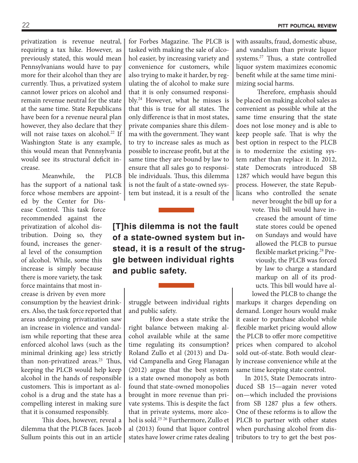privatization is revenue neutral, requiring a tax hike. However, as previously stated, this would mean Pennsylvanians would have to pay more for their alcohol than they are currently. Thus, a privatized system cannot lower prices on alcohol and remain revenue neutral for the state at the same time. State Republicans have been for a revenue neural plan however, they also declare that they will not raise taxes on alcohol.<sup>22</sup> If Washington State is any example, this would mean that Pennsylvania would see its structural deficit increase.

Meanwhile, the PLCB has the support of a national task force whose members are appoint-

ed by the Center for Disease Control. This task force recommended against the privatization of alcohol distribution. Doing so, they found, increases the general level of the consumption of alcohol. While, some this increase is simply because there is more variety, the task force maintains that most increase is driven by even more

consumption by the heaviest drinkers. Also, the task force reported that areas undergoing privatization saw an increase in violence and vandalism while reporting that these area enforced alcohol laws (such as the minimal drinking age) less strictly than non-privatized areas.<sup>23</sup> Thus, keeping the PLCB would help keep alcohol in the hands of responsible customers. This is important as alcohol is a drug and the state has a compelling interest in making sure that it is consumed responsibly.

This does, however, reveal a dilemma that the PLCB faces. Jacob Sullum points this out in an article for Forbes Magazine. The PLCB is tasked with making the sale of alcohol easier, by increasing variety and convenience for customers, while also trying to make it harder, by regulating the of alcohol to make sure that it is only consumed responsibly.<sup>24</sup> However, what he misses is that this is true for all states. The only difference is that in most states, private companies share this dilemma with the government. They want to try to increase sales as much as possible to increase profit, but at the same time they are bound by law to ensure that all sales go to responsible individuals. Thus, this dilemma is not the fault of a state-owned system but instead, it is a result of the

## **[T]his dilemma is not the fault of a state-owned system but instead, it is a result of the struggle between individual rights and public safety.**

struggle between individual rights and public safety.

How does a state strike the right balance between making alcohol available while at the same time regulating its consumption? Roland Zullo et al (2013) and David Campanella and Greg Flanagan (2012) argue that the best system is a state owned monopoly as both found that state-owned monopolies brought in more revenue than private systems. This is despite the fact that in private systems, more alcohol is sold.<sup>25</sup> <sup>26</sup> Furthermore, Zullo et al (2013) found that liquor control states have lower crime rates dealing

with assaults, fraud, domestic abuse, and vandalism than private liquor systems.<sup>27</sup> Thus, a state controlled liquor system maximizes economic benefit while at the same time minimizing social harms.

Therefore, emphasis should be placed on making alcohol sales as convenient as possible while at the same time ensuring that the state does not lose money and is able to keep people safe. That is why the best option in respect to the PLCB is to modernize the existing system rather than replace it. In 2012, state Democrats introduced SB 1287 which would have begun this process. However, the state Republicans who controlled the senate

> never brought the bill up for a vote. This bill would have increased the amount of time state stores could be opened on Sundays and would have allowed the PLCB to pursue flexible market pricing.28 Previously, the PLCB was forced by law to charge a standard markup on all of its products. This bill would have allowed the PLCB to change the

markups it charges depending on demand. Longer hours would make it easier to purchase alcohol while flexible market pricing would allow the PLCB to offer more competitive prices when compared to alcohol sold out-of-state. Both would clearly increase convenience while at the same time keeping state control.

In 2015, State Democrats introduced SB 15—again never voted on—which included the provisions from SB 1287 plus a few others. One of these reforms is to allow the PLCB to partner with other states when purchasing alcohol from distributors to try to get the best pos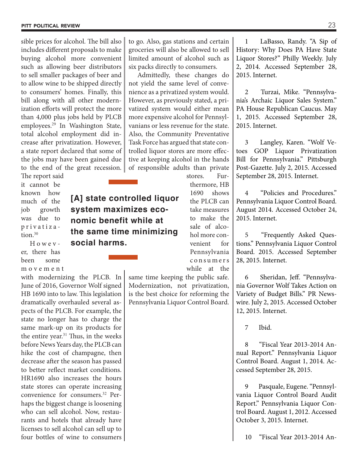sible prices for alcohol. The bill also includes different proposals to make buying alcohol more convenient such as allowing beer distributors to sell smaller packages of beer and to allow wine to be shipped directly to consumers' homes. Finally, this bill along with all other modernization efforts will protect the more than 4,000 plus jobs held by PLCB employees.<sup>29</sup> In Washington State, total alcohol employment did increase after privatization. However, a state report declared that some of the jobs may have been gained due to the end of the great recession.

The report said it cannot be known how much of the job growth was due to privatiza tion.<sup>30</sup>

Howev er, there has been some m o v e m e n t

with modernizing the PLCB. In June of 2016, Governor Wolf signed HB 1690 into to law. This legislation dramatically overhauled several aspects of the PLCB. For example, the state no longer has to charge the same mark-up on its products for the entire year.<sup>31</sup> Thus, in the weeks before News Years day, the PLCB can hike the cost of champagne, then decrease after the season has passed to better reflect market conditions. HR1690 also increases the hours state stores can operate increasing convenience for consumers.32 Perhaps the biggest change is loosening who can sell alcohol. Now, restaurants and hotels that already have licenses to sell alcohol can sell up to four bottles of wine to consumers to go. Also, gas stations and certain groceries will also be allowed to sell limited amount of alcohol such as six packs directly to consumers.

Admittedly, these changes do not yield the same level of convenience as a privatized system would. However, as previously stated, a privatized system would either mean more expensive alcohol for Pennsylvanians or less revenue for the state. Also, the Community Preventative Task Force has argued that state controlled liquor stores are more effective at keeping alcohol in the hands of responsible adults than private

stores. Furthermore, HB 1690 shows the PLCB can take measures to make the sale of alcohol more convenient for Pennsylvania c o n s u m e r s while at the

same time keeping the public safe. Modernization, not privatization, is the best choice for reforming the Pennsylvania Liquor Control Board.

1 LaBasso, Randy. "A Sip of History: Why Does PA Have State Liquor Stores?" Philly Weekly. July 2, 2014. Accessed September 28, 2015. Internet.

2 Turzai, Mike. "Pennsylvania's Archaic Liquor Sales System." PA House Republican Caucus. May 1, 2015. Accessed September 28, 2015. Internet.

3 Langley, Karen. "Wolf Vetoes GOP Liquor Privatization Bill for Pennsylvania." Pittsburgh Post-Gazette. July 2, 2015. Accessed September 28, 2015. Internet.

4 "Policies and Procedures." Pennsylvania Liquor Control Board. August 2014. Accessed October 24, 2015. Internet.

5 "Frequently Asked Questions." Pennsylvania Liquor Control Board. 2015. Accessed September 28, 2015. Internet.

6 Sheridan, Jeff. "Pennsylvania Governor Wolf Takes Action on Variety of Budget Bills." PR Newswire. July 2, 2015. Accessed October 12, 2015. Internet.

7 Ibid.

8 "Fiscal Year 2013-2014 Annual Report." Pennsylvania Liquor Control Board. August 1, 2014. Accessed September 28, 2015.

9 Pasquale, Eugene. "Pennsylvania Liquor Control Board Audit Report." Pennsylvania Liquor Control Board. August 1, 2012. Accessed October 3, 2015. Internet.

10 "Fiscal Year 2013-2014 An-

## **[A] state controlled liquor system maximizes economic benefit while at the same time minimizing social harms.**